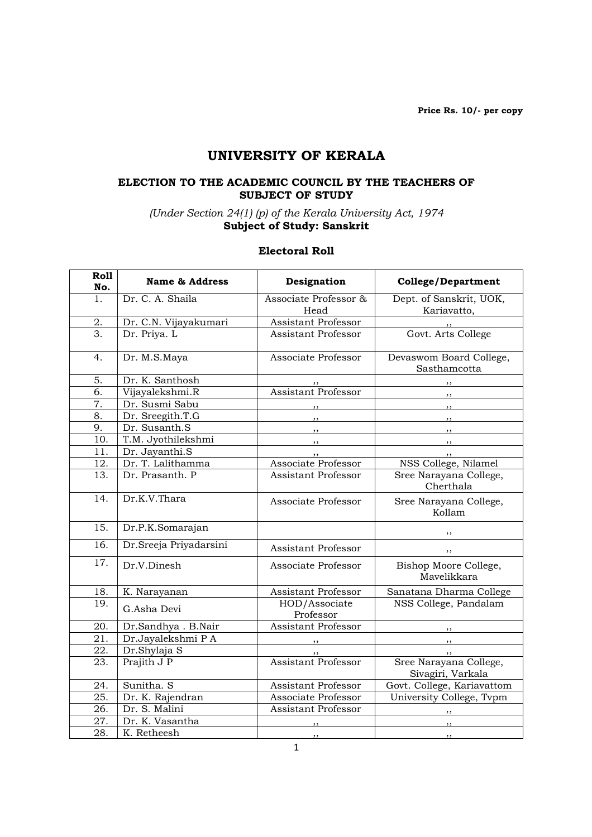Price Rs. 10/- per copy

# UNIVERSITY OF KERALA

#### ELECTION TO THE ACADEMIC COUNCIL BY THE TEACHERS OF SUBJECT OF STUDY

(Under Section 24(1) (p) of the Kerala University Act, 1974 Subject of Study: Sanskrit

#### Electoral Roll

| Roll<br>No.       | <b>Name &amp; Address</b> | Designation                   | <b>College/Department</b>                   |
|-------------------|---------------------------|-------------------------------|---------------------------------------------|
| 1 <sub>1</sub>    | Dr. C. A. Shaila          | Associate Professor &<br>Head | Dept. of Sanskrit, UOK,<br>Kariavatto,      |
| 2.                | Dr. C.N. Vijayakumari     | <b>Assistant Professor</b>    |                                             |
| 3.                | Dr. Priya. L              | <b>Assistant Professor</b>    | Govt. Arts College                          |
| 4.                | Dr. M.S.Maya              | Associate Professor           | Devaswom Board College,<br>Sasthamcotta     |
| 5.                | Dr. K. Santhosh           |                               | $, \, \cdot$                                |
| 6.                | Vijayalekshmi.R           | <b>Assistant Professor</b>    | $, \, , \,$                                 |
| 7.                | Dr. Susmi Sabu            | ,,                            | ,,                                          |
| 8.                | Dr. Sreegith.T.G          | , ,                           | , ,                                         |
| 9.                | Dr. Susanth.S             | $\overline{\phantom{a}}$      | , ,                                         |
| 10.               | T.M. Jyothilekshmi        | $, \, \,$                     | , ,                                         |
| 11.               | Dr. Jayanthi.S            |                               | ,,                                          |
| 12.               | Dr. T. Lalithamma         | Associate Professor           | NSS College, Nilamel                        |
| 13.               | Dr. Prasanth. P           | <b>Assistant Professor</b>    | Sree Narayana College,<br>Cherthala         |
| 14.               | Dr.K.V.Thara              | Associate Professor           | Sree Narayana College,<br>Kollam            |
| 15.               | Dr.P.K.Somarajan          |                               | ,,                                          |
| $\overline{16}$ . | Dr.Sreeja Priyadarsini    | <b>Assistant Professor</b>    | , ,                                         |
| 17.               | Dr.V.Dinesh               | Associate Professor           | Bishop Moore College,<br>Mavelikkara        |
| 18.               | K. Narayanan              | <b>Assistant Professor</b>    | Sanatana Dharma College                     |
| 19.               | G.Asha Devi               | HOD/Associate<br>Professor    | NSS College, Pandalam                       |
| 20.               | Dr.Sandhya. B.Nair        | Assistant Professor           |                                             |
| 21.               | Dr.Jayalekshmi PA         |                               | $\overline{\phantom{a}}$                    |
| 22.               | Dr.Shylaja S              |                               |                                             |
| 23.               | Prajith J P               | <b>Assistant Professor</b>    | Sree Narayana College,<br>Sivagiri, Varkala |
| 24.               | Sunitha. S                | <b>Assistant Professor</b>    | Govt. College, Kariavattom                  |
| 25.               | Dr. K. Rajendran          | Associate Professor           | University College, Tvpm                    |
| 26.               | Dr. S. Malini             | Assistant Professor           | $, \, \,$                                   |
| 27.               | Dr. K. Vasantha           |                               | ,,                                          |
| 28.               | K. Retheesh               | , ,                           | $, \,$                                      |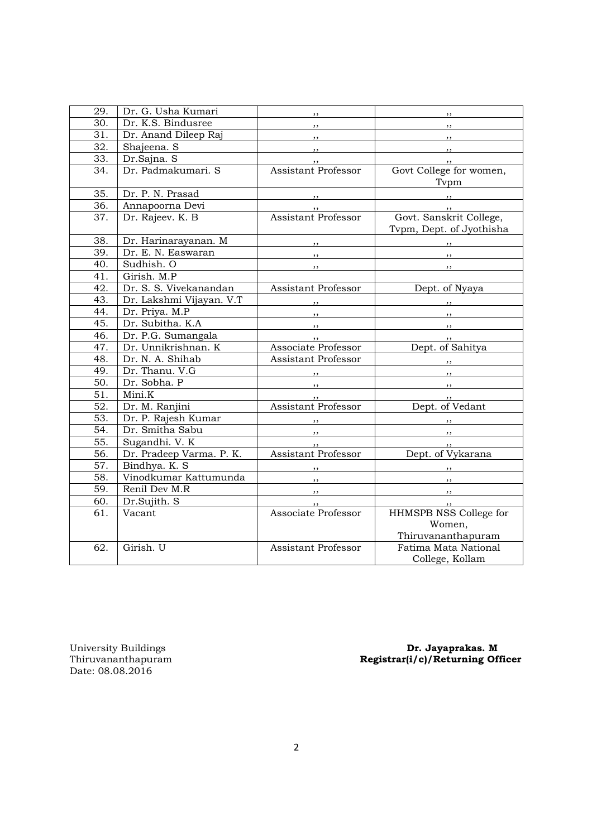| 29. | Dr. G. Usha Kumari       | $, \, \cdot$                                                                                                                                                                                                                                                                                                                                                                                                                                                               | , ,                                                                                                                                                                                                                                                                                                                                                                                                                                                                        |
|-----|--------------------------|----------------------------------------------------------------------------------------------------------------------------------------------------------------------------------------------------------------------------------------------------------------------------------------------------------------------------------------------------------------------------------------------------------------------------------------------------------------------------|----------------------------------------------------------------------------------------------------------------------------------------------------------------------------------------------------------------------------------------------------------------------------------------------------------------------------------------------------------------------------------------------------------------------------------------------------------------------------|
| 30. | Dr. K.S. Bindusree       |                                                                                                                                                                                                                                                                                                                                                                                                                                                                            | $, \, \,$                                                                                                                                                                                                                                                                                                                                                                                                                                                                  |
| 31. | Dr. Anand Dileep Raj     | $, \, \,$                                                                                                                                                                                                                                                                                                                                                                                                                                                                  | $, \, \,$                                                                                                                                                                                                                                                                                                                                                                                                                                                                  |
| 32. | Shajeena. S              | $, \, \, \cdot$                                                                                                                                                                                                                                                                                                                                                                                                                                                            | $\overline{\phantom{a}}$ , $\overline{\phantom{a}}$ , $\overline{\phantom{a}}$ , $\overline{\phantom{a}}$ , $\overline{\phantom{a}}$ , $\overline{\phantom{a}}$ , $\overline{\phantom{a}}$ , $\overline{\phantom{a}}$ , $\overline{\phantom{a}}$ , $\overline{\phantom{a}}$ , $\overline{\phantom{a}}$ , $\overline{\phantom{a}}$ , $\overline{\phantom{a}}$ , $\overline{\phantom{a}}$ , $\overline{\phantom{a}}$ , $\overline{\phantom{a}}$ , $\overline{\phantom{a}}$ , |
| 33. | Dr.Sajna. S              | $, \, \,$                                                                                                                                                                                                                                                                                                                                                                                                                                                                  | $\overline{\phantom{a}}$                                                                                                                                                                                                                                                                                                                                                                                                                                                   |
| 34. | Dr. Padmakumari. S       | Assistant Professor                                                                                                                                                                                                                                                                                                                                                                                                                                                        | Govt College for women,                                                                                                                                                                                                                                                                                                                                                                                                                                                    |
|     |                          |                                                                                                                                                                                                                                                                                                                                                                                                                                                                            | Typm                                                                                                                                                                                                                                                                                                                                                                                                                                                                       |
| 35. | Dr. P. N. Prasad         | $, \, \, \cdot$                                                                                                                                                                                                                                                                                                                                                                                                                                                            |                                                                                                                                                                                                                                                                                                                                                                                                                                                                            |
| 36. | Annapoorna Devi          | ,,                                                                                                                                                                                                                                                                                                                                                                                                                                                                         |                                                                                                                                                                                                                                                                                                                                                                                                                                                                            |
| 37. | Dr. Rajeev. K. B         | <b>Assistant Professor</b>                                                                                                                                                                                                                                                                                                                                                                                                                                                 | Govt. Sanskrit College,                                                                                                                                                                                                                                                                                                                                                                                                                                                    |
|     |                          |                                                                                                                                                                                                                                                                                                                                                                                                                                                                            | Tvpm, Dept. of Jyothisha                                                                                                                                                                                                                                                                                                                                                                                                                                                   |
| 38. | Dr. Harinarayanan. M     | , ,                                                                                                                                                                                                                                                                                                                                                                                                                                                                        | $\overline{\phantom{a}}$                                                                                                                                                                                                                                                                                                                                                                                                                                                   |
| 39. | Dr. E. N. Easwaran       | $, \, \,$                                                                                                                                                                                                                                                                                                                                                                                                                                                                  | $, \, \,$                                                                                                                                                                                                                                                                                                                                                                                                                                                                  |
| 40. | Sudhish. O               | $, \, \,$                                                                                                                                                                                                                                                                                                                                                                                                                                                                  | $, \, \,$                                                                                                                                                                                                                                                                                                                                                                                                                                                                  |
| 41. | Girish. M.P              |                                                                                                                                                                                                                                                                                                                                                                                                                                                                            |                                                                                                                                                                                                                                                                                                                                                                                                                                                                            |
| 42. | Dr. S. S. Vivekanandan   | Assistant Professor                                                                                                                                                                                                                                                                                                                                                                                                                                                        | Dept. of Nyaya                                                                                                                                                                                                                                                                                                                                                                                                                                                             |
| 43. | Dr. Lakshmi Vijayan. V.T |                                                                                                                                                                                                                                                                                                                                                                                                                                                                            |                                                                                                                                                                                                                                                                                                                                                                                                                                                                            |
| 44. | Dr. Priya. M.P           |                                                                                                                                                                                                                                                                                                                                                                                                                                                                            |                                                                                                                                                                                                                                                                                                                                                                                                                                                                            |
| 45. | Dr. Subitha. K.A         | $\overline{\phantom{a}}$ , $\overline{\phantom{a}}$ , $\overline{\phantom{a}}$ , $\overline{\phantom{a}}$ , $\overline{\phantom{a}}$ , $\overline{\phantom{a}}$ , $\overline{\phantom{a}}$ , $\overline{\phantom{a}}$ , $\overline{\phantom{a}}$ , $\overline{\phantom{a}}$ , $\overline{\phantom{a}}$ , $\overline{\phantom{a}}$ , $\overline{\phantom{a}}$ , $\overline{\phantom{a}}$ , $\overline{\phantom{a}}$ , $\overline{\phantom{a}}$ , $\overline{\phantom{a}}$ , | $, \, \,$                                                                                                                                                                                                                                                                                                                                                                                                                                                                  |
| 46. | Dr. P.G. Sumangala       | , ,                                                                                                                                                                                                                                                                                                                                                                                                                                                                        | $, \, \,$                                                                                                                                                                                                                                                                                                                                                                                                                                                                  |
| 47. | Dr. Unnikrishnan. K      | Associate Professor                                                                                                                                                                                                                                                                                                                                                                                                                                                        | Dept. of Sahitya                                                                                                                                                                                                                                                                                                                                                                                                                                                           |
| 48. | Dr. N. A. Shihab         | Assistant Professor                                                                                                                                                                                                                                                                                                                                                                                                                                                        | $, \,$                                                                                                                                                                                                                                                                                                                                                                                                                                                                     |
| 49. | Dr. Thanu. V.G           | $\overline{\phantom{a}}$                                                                                                                                                                                                                                                                                                                                                                                                                                                   | $\overline{\phantom{a}}$                                                                                                                                                                                                                                                                                                                                                                                                                                                   |
| 50. | Dr. Sobha. P             | $, \, \,$                                                                                                                                                                                                                                                                                                                                                                                                                                                                  | $, \, \, \cdot$                                                                                                                                                                                                                                                                                                                                                                                                                                                            |
| 51. | Mini.K                   | , ,                                                                                                                                                                                                                                                                                                                                                                                                                                                                        | , ,                                                                                                                                                                                                                                                                                                                                                                                                                                                                        |
| 52. | Dr. M. Ranjini           | <b>Assistant Professor</b>                                                                                                                                                                                                                                                                                                                                                                                                                                                 | Dept. of Vedant                                                                                                                                                                                                                                                                                                                                                                                                                                                            |
| 53. | Dr. P. Rajesh Kumar      | , ,                                                                                                                                                                                                                                                                                                                                                                                                                                                                        | $\overline{\phantom{a}}$                                                                                                                                                                                                                                                                                                                                                                                                                                                   |
| 54. | Dr. Smitha Sabu          | $\overline{\phantom{a}}$                                                                                                                                                                                                                                                                                                                                                                                                                                                   | $\overline{\phantom{a}}$ , $\overline{\phantom{a}}$ , $\overline{\phantom{a}}$ , $\overline{\phantom{a}}$ , $\overline{\phantom{a}}$ , $\overline{\phantom{a}}$ , $\overline{\phantom{a}}$ , $\overline{\phantom{a}}$ , $\overline{\phantom{a}}$ , $\overline{\phantom{a}}$ , $\overline{\phantom{a}}$ , $\overline{\phantom{a}}$ , $\overline{\phantom{a}}$ , $\overline{\phantom{a}}$ , $\overline{\phantom{a}}$ , $\overline{\phantom{a}}$ , $\overline{\phantom{a}}$ , |
| 55. | Sugandhi. V. K           | , 1                                                                                                                                                                                                                                                                                                                                                                                                                                                                        | $, \, \cdot$                                                                                                                                                                                                                                                                                                                                                                                                                                                               |
| 56. | Dr. Pradeep Varma. P. K. | <b>Assistant Professor</b>                                                                                                                                                                                                                                                                                                                                                                                                                                                 | Dept. of Vykarana                                                                                                                                                                                                                                                                                                                                                                                                                                                          |
| 57. | Bindhya. K. S            |                                                                                                                                                                                                                                                                                                                                                                                                                                                                            | $\overline{\phantom{a}}$ , $\overline{\phantom{a}}$                                                                                                                                                                                                                                                                                                                                                                                                                        |
| 58. | Vinodkumar Kattumunda    | $, \, \,$                                                                                                                                                                                                                                                                                                                                                                                                                                                                  |                                                                                                                                                                                                                                                                                                                                                                                                                                                                            |
| 59. | Renil Dev M.R            | $\overline{\phantom{a}}$ , $\overline{\phantom{a}}$                                                                                                                                                                                                                                                                                                                                                                                                                        | $\overline{\phantom{a}}$ , $\overline{\phantom{a}}$                                                                                                                                                                                                                                                                                                                                                                                                                        |
| 60. | Dr.Sujith. S             | ,,                                                                                                                                                                                                                                                                                                                                                                                                                                                                         | ,,                                                                                                                                                                                                                                                                                                                                                                                                                                                                         |
| 61. | Vacant                   | Associate Professor                                                                                                                                                                                                                                                                                                                                                                                                                                                        | HHMSPB NSS College for                                                                                                                                                                                                                                                                                                                                                                                                                                                     |
|     |                          |                                                                                                                                                                                                                                                                                                                                                                                                                                                                            | Women,                                                                                                                                                                                                                                                                                                                                                                                                                                                                     |
|     |                          |                                                                                                                                                                                                                                                                                                                                                                                                                                                                            | Thiruvananthapuram                                                                                                                                                                                                                                                                                                                                                                                                                                                         |
| 62. | Girish. U                | <b>Assistant Professor</b>                                                                                                                                                                                                                                                                                                                                                                                                                                                 | Fatima Mata National                                                                                                                                                                                                                                                                                                                                                                                                                                                       |
|     |                          |                                                                                                                                                                                                                                                                                                                                                                                                                                                                            | College, Kollam                                                                                                                                                                                                                                                                                                                                                                                                                                                            |

University Buildings<br>Thiruvananthapuram<br>Date: 08.08.2016

University Buildings **Dr. Jayaprakas. M** Thiruvananthapuram Registrar(i/c)/Returning Officer